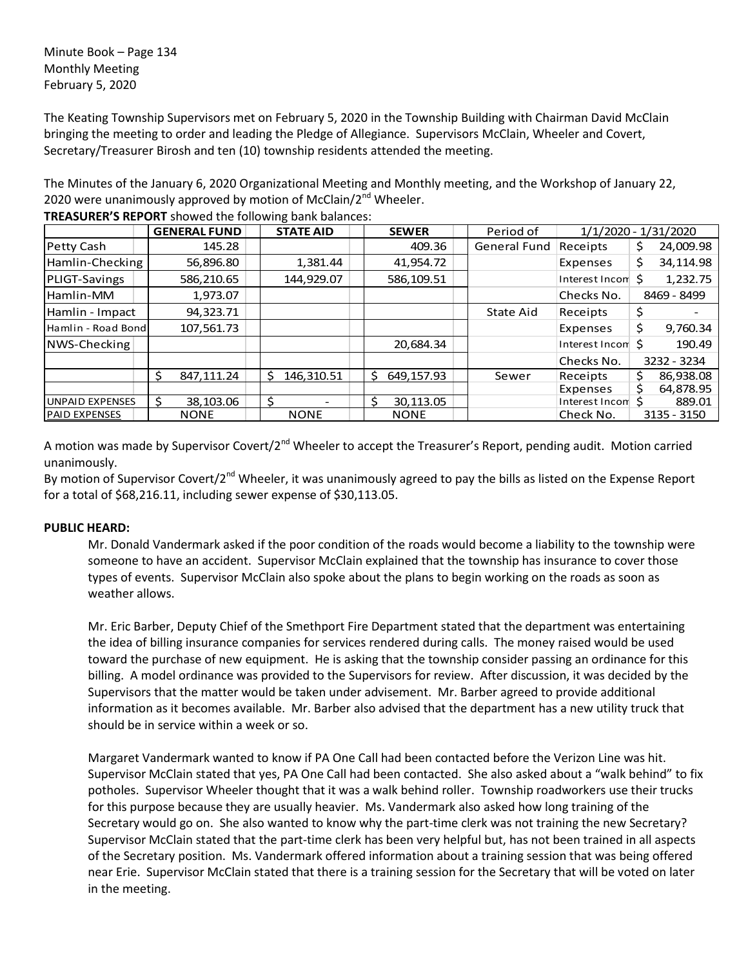Minute Book – Page 134 Monthly Meeting February 5, 2020

The Keating Township Supervisors met on February 5, 2020 in the Township Building with Chairman David McClain bringing the meeting to order and leading the Pledge of Allegiance. Supervisors McClain, Wheeler and Covert, Secretary/Treasurer Birosh and ten (10) township residents attended the meeting.

The Minutes of the January 6, 2020 Organizational Meeting and Monthly meeting, and the Workshop of January 22, 2020 were unanimously approved by motion of McClain/ $2^{nd}$  Wheeler.

|                        | <b>GENERAL FUND</b> | <b>STATE AID</b> | <b>SEWER</b>     | Period of           |                             | 1/1/2020 - 1/31/2020 |
|------------------------|---------------------|------------------|------------------|---------------------|-----------------------------|----------------------|
| Petty Cash             | 145.28              |                  | 409.36           | <b>General Fund</b> | Receipts                    | 24,009.98<br>\$.     |
| Hamlin-Checking        | 56,896.80           | 1,381.44         | 41,954.72        |                     | Expenses                    | 34,114.98<br>\$.     |
| PLIGT-Savings          | 586,210.65          | 144,929.07       | 586,109.51       |                     | Interest Incom              | 1,232.75<br>Ś.       |
| Hamlin-MM              | 1,973.07            |                  |                  |                     | Checks No.                  | 8469 - 8499          |
| Hamlin - Impact        | 94,323.71           |                  |                  | State Aid           | Receipts                    | \$                   |
| Hamlin - Road Bond     | 107,561.73          |                  |                  |                     | Expenses                    | \$<br>9,760.34       |
| NWS-Checking           |                     |                  | 20,684.34        |                     | Interest Incom <sup>5</sup> | 190.49               |
|                        |                     |                  |                  |                     | Checks No.                  | 3232 - 3234          |
|                        | Ś<br>847,111.24     | 146,310.51<br>Ŝ. | Ś.<br>649,157.93 | Sewer               | Receipts                    | Ś<br>86,938.08       |
|                        |                     |                  |                  |                     | Expenses                    | 64,878.95<br>Ś       |
| <b>UNPAID EXPENSES</b> | 38,103.06           | ς                | Ś<br>30,113.05   |                     | Interest Incom S            | 889.01               |
| <b>PAID EXPENSES</b>   | <b>NONE</b>         | <b>NONE</b>      | <b>NONE</b>      |                     | Check No.                   | 3135 - 3150          |

**TREASURER'S REPORT** showed the following bank balances:

A motion was made by Supervisor Covert/2<sup>nd</sup> Wheeler to accept the Treasurer's Report, pending audit. Motion carried unanimously.

By motion of Supervisor Covert/2<sup>nd</sup> Wheeler, it was unanimously agreed to pay the bills as listed on the Expense Report for a total of \$68,216.11, including sewer expense of \$30,113.05.

### **PUBLIC HEARD:**

Mr. Donald Vandermark asked if the poor condition of the roads would become a liability to the township were someone to have an accident. Supervisor McClain explained that the township has insurance to cover those types of events. Supervisor McClain also spoke about the plans to begin working on the roads as soon as weather allows.

Mr. Eric Barber, Deputy Chief of the Smethport Fire Department stated that the department was entertaining the idea of billing insurance companies for services rendered during calls. The money raised would be used toward the purchase of new equipment. He is asking that the township consider passing an ordinance for this billing. A model ordinance was provided to the Supervisors for review. After discussion, it was decided by the Supervisors that the matter would be taken under advisement. Mr. Barber agreed to provide additional information as it becomes available. Mr. Barber also advised that the department has a new utility truck that should be in service within a week or so.

Margaret Vandermark wanted to know if PA One Call had been contacted before the Verizon Line was hit. Supervisor McClain stated that yes, PA One Call had been contacted. She also asked about a "walk behind" to fix potholes. Supervisor Wheeler thought that it was a walk behind roller. Township roadworkers use their trucks for this purpose because they are usually heavier. Ms. Vandermark also asked how long training of the Secretary would go on. She also wanted to know why the part-time clerk was not training the new Secretary? Supervisor McClain stated that the part-time clerk has been very helpful but, has not been trained in all aspects of the Secretary position. Ms. Vandermark offered information about a training session that was being offered near Erie. Supervisor McClain stated that there is a training session for the Secretary that will be voted on later in the meeting.